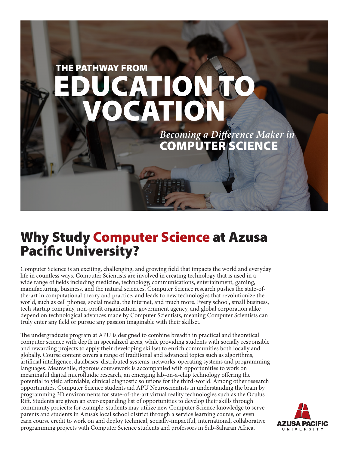

# Why Study Computer Science at Azusa Pacific University?

Computer Science is an exciting, challenging, and growing field that impacts the world and everyday life in countless ways. Computer Scientists are involved in creating technology that is used in a wide range of fields including medicine, technology, communications, entertainment, gaming, manufacturing, business, and the natural sciences. Computer Science research pushes the state-ofthe-art in computational theory and practice, and leads to new technologies that revolutionize the world, such as cell phones, social media, the internet, and much more. Every school, small business, tech startup company, non-profit organization, government agency, and global corporation alike depend on technological advances made by Computer Scientists, meaning Computer Scientists can truly enter any field or pursue any passion imaginable with their skillset.

The undergraduate program at APU is designed to combine breadth in practical and theoretical computer science with depth in specialized areas, while providing students with socially responsible and rewarding projects to apply their developing skillset to enrich communities both locally and globally. Course content covers a range of traditional and advanced topics such as algorithms, artificial intelligence, databases, distributed systems, networks, operating systems and programming languages. Meanwhile, rigorous coursework is accompanied with opportunities to work on meaningful digital microfluidic research, an emerging lab-on-a-chip technology offering the potential to yield affordable, clinical diagnostic solutions for the third-world. Among other research opportunities, Computer Science students aid APU Neuroscientists in understanding the brain by programming 3D environments for state-of-the-art virtual reality technologies such as the Oculus Rift. Students are given an ever-expanding list of opportunities to develop their skills through community projects; for example, students may utilize new Computer Science knowledge to serve parents and students in Azusa's local school district through a service learning course, or even earn course credit to work on and deploy technical, socially-impactful, international, collaborative programming projects with Computer Science students and professors in Sub-Saharan Africa.

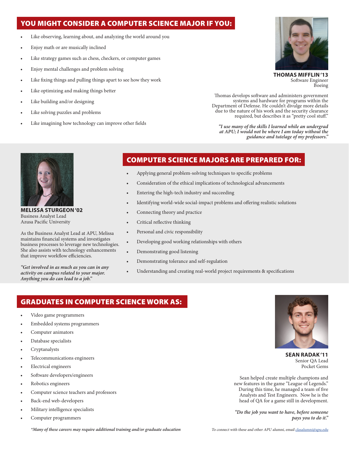### YOU MIGHT CONSIDER A COMPUTER SCIENCE MAJOR IF YOU:

- Like observing, learning about, and analyzing the world around you
- Enjoy math or are musically inclined
- Like strategy games such as chess, checkers, or computer games
- Enjoy mental challenges and problem solving
- Like fixing things and pulling things apart to see how they work
- Like optimizing and making things better
- Like building and/or designing
- Like solving puzzles and problems
- Like imagining how technology can improve other fields



**THOMAS MIFFLIN '13** Software Engineer Boeing

Thomas develops software and administers government systems and hardware for programs within the Department of Defense. He couldn't divulge more details due to the nature of his work and the security clearance required, but describes it as "pretty cool stuff."

*"I use many of the skills I learned while an undergrad at APU; I would not be where I am today without the guidance and tutelage of my professors."*



**MELISSA STURGEON '02** Business Analyst Lead Azusa Pacific University

As the Business Analyst Lead at APU, Melissa maintains financial systems and investigates business processes to leverage new technologies. She also assists with technology enhancements that improve workflow efficiencies.

*"Get involved in as much as you can in any activity on campus related to your major. Anything you do can lead to a job."*

### COMPUTER SCIENCE MAJORS ARE PREPARED FOR:

- Applying general problem-solving techniques to specific problems
- Consideration of the ethical implications of technological advancements
- Entering the high-tech industry and succeeding
- Identifying world-wide social-impact problems and offering realistic solutions
- Connecting theory and practice
- Critical reflective thinking
- Personal and civic responsibility
- Developing good working relationships with others
- Demonstrating good listening
- Demonstrating tolerance and self-regulation
- Understanding and creating real-world project requirements & specifications

### GRADUATES IN COMPUTER SCIENCE WORK AS:

- Video game programmers
- Embedded systems programmers
- Computer animators
- Database specialists
- Cryptanalysts
- Telecommunications engineers
- Electrical engineers
- Software developers/engineers
- Robotics engineers
- Computer science teachers and professors
- Back-end web-developers
- Military intelligence specialists
- Computer programmers



**SEAN RADAK '11** Senior QA Lead Pocket Gems

Sean helped create multiple champions and new features in the game "League of Legends." During this time, he managed a team of five Analysts and Test Engineers. Now he is the head of QA for a game still in development.

*"Do the job you want to have, before someone pays you to do it."*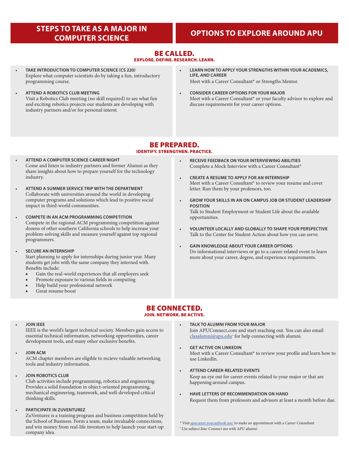### **STEPS TO TAKE AS A MAJOR IN COMPUTER SCIENCE OPTIONS TO EXPLORE AROUND APU**

### BE CALLED. EXPLORE. DEFINE. RESEARCH. LEARN.

- **TAKE INTRODUCTION TO COMPUTER SCIENCE (CS 220)** Explore what computer scientists do by taking a fun, introductory programming course.
- **ATTEND A ROBOTICS CLUB MEETING** Visit a Robotics Club meeting (no skill required) to see what fun and exciting robotics projects our students are developing with industry partners and/or for personal interst.
- **LEARN HOW TO APPLY YOUR STRENGTHS WITHIN YOUR ACADEMICS, LIFE, AND CAREER**

Meet with a Career Consultant\* or Strengths Mentor.

• **CONSIDER CAREER OPTIONS FOR YOUR MAJOR** Meet with a Career Consultant\* or your faculty advisor to explore and discuss requirements for your career options.

### BE PREPARED. IDENTIFY. STRENGTHEN. PRACTICE.

- **ATTEND A COMPUTER SCIENCE CAREER NIGHT** Come and listen to industry partners and former Alumni as they share insights about how to prepare yourself for the technology industry.
- **ATTEND A SUMMER SERVICE TRIP WITH THE DEPARTMENT** Collaborate with universities around the world in developing computer programs and solutions which lead to positive social impact in third-world communities.
- **COMPETE IN AN ACM PROGRAMMING COMPETITION** Compete in the regional ACM programming competition against dozens of other southern California schools to help increase your problem-solving skills and measure yourself against top regional programmers.
- **SECURE AN INTERNSHIP**

Start planning to apply for internships during junior year. Many students get jobs with the same company they interned with. Benefits include:

- Gain the real-world experiences that all employers seek
- Promote exposure to various fields in computing
- Help build your professional network
- Great resume boost
- **RECEIVE FEEDBACK ON YOUR INTERVIEWING ABILITIES** Complete a Mock Interview with a Career Consultant\*
- **CREATE A RESUME TO APPLY FOR AN INTERNSHIP** Meet with a Career Consultant\* to review your resume and cover letter. Run them by your professors, too.
- **GROW YOUR SKILLS IN AN ON CAMPUS JOB OR STUDENT LEADERSHIP POSITION** Talk to Student Employment or Student Life about the available opportunities.
- **VOLUNTEER LOCALLY AND GLOBALLY TO SHAPE YOUR PERSPECTIVE** Talk to the Center for Student Action about how you can serve.
- **GAIN KNOWLEDGE ABOUT YOUR CAREER OPTIONS** Do informational interviews or go to a career-related event to learn more about your career, degree, and experience requirements.

## BE CONNECTED.

### JOIN. NETWORK. BE ACTIVE.

#### • **JOIN IEEE**

IEEE is the world's largest technical society. Members gain access to essential technical information, networking opportunities, career development tools, and many other exclusive benefits.

• **JOIN ACM**

ACM chapter members are eligible to recieve valuable networking tools and industry information.

• **JOIN ROBOTICS CLUB**

Club activities include programming, robotics and engineering. Provides a solid foundation in object-oriented programming, mechanical engineering, teamwork, and well-developed critical thinking skills.

### • **PARTICIPATE IN ZUVENTUREZ**

ZuVenturez is a training program and business competition held by the School of Business. Form a team, make invaluable connections, and win money from real-life investors to help launch your start-up company idea.

- **TALK TO ALUMNI FROM YOUR MAJOR** Join APUConnect.com and start reaching out. You can also email [clasalumni@apu.edu](mailto:clasoffice%40apu.edu?subject=Connect%20me%20with%20APU%20alumni)<sup>+</sup> for help connecting with alumni.
- **GET ACTIVE ON LINKEDIN** Meet with a Career Consultant\* to review your profile and learn how to use LinkedIn.
- **ATTEND CAREER-RELATED EVENTS**

Keep an eye out for career events related to your major or that are happening around campus.

• **HAVE LETTERS OF RECOMMENDATION ON HAND** Request them from professors and advisors at least a month before due.

\* Visit [apucareer.youcanbook.me/](http://apucareer.youcanbook.me/) to make an appointment with a Career Consultant <sup>+</sup> Use subject line: Connect me with APU alumni